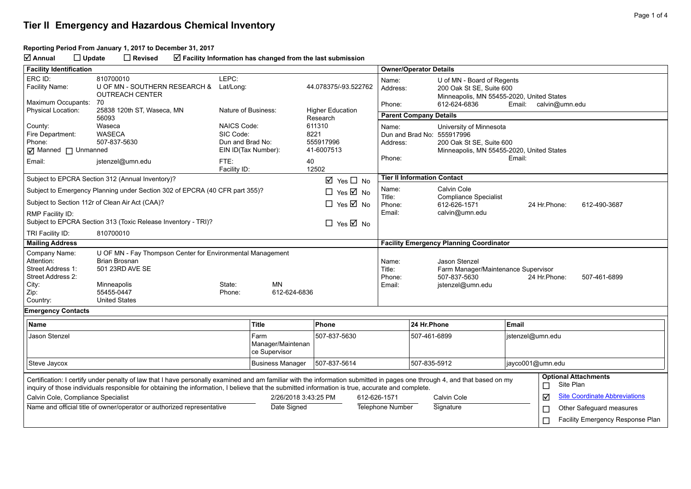#### **Reporting Period From January 1, 2017 to December 31, 2017**

**Annual Update Revised Facility Information has changed from the last submission**

| <b>Facility Identification</b>                                                                                                                                                                           |                                                                             |                                         |                         |                                     |                         |                                                                                                         | <b>Owner/Operator Details</b>                                         |                       |                                      |  |  |
|----------------------------------------------------------------------------------------------------------------------------------------------------------------------------------------------------------|-----------------------------------------------------------------------------|-----------------------------------------|-------------------------|-------------------------------------|-------------------------|---------------------------------------------------------------------------------------------------------|-----------------------------------------------------------------------|-----------------------|--------------------------------------|--|--|
| ERC ID:                                                                                                                                                                                                  | 810700010                                                                   | LEPC:                                   |                         |                                     | Name:                   | U of MN - Board of Regents                                                                              |                                                                       |                       |                                      |  |  |
| Facility Name:                                                                                                                                                                                           | U OF MN - SOUTHERN RESEARCH &<br><b>OUTREACH CENTER</b>                     | Lat/Long:                               |                         | 44.078375/-93.522762                | Address:                |                                                                                                         | 200 Oak St SE, Suite 600<br>Minneapolis, MN 55455-2020, United States |                       |                                      |  |  |
| Maximum Occupants:                                                                                                                                                                                       | 70                                                                          |                                         |                         |                                     | Phone:                  |                                                                                                         | 612-624-6836                                                          | Email: calvin@umn.edu |                                      |  |  |
| <b>Physical Location:</b>                                                                                                                                                                                | 25838 120th ST, Waseca, MN<br>56093                                         | Nature of Business:                     |                         | <b>Higher Education</b><br>Research |                         | <b>Parent Company Details</b>                                                                           |                                                                       |                       |                                      |  |  |
| County:                                                                                                                                                                                                  | Waseca                                                                      | <b>NAICS Code:</b>                      |                         | 611310                              | Name:                   |                                                                                                         | University of Minnesota                                               |                       |                                      |  |  |
| Fire Department:                                                                                                                                                                                         | <b>WASECA</b>                                                               | SIC Code:                               |                         | 8221<br>555917996                   |                         |                                                                                                         | Dun and Brad No: 555917996                                            |                       |                                      |  |  |
| Phone:                                                                                                                                                                                                   | 507-837-5630                                                                | Dun and Brad No:<br>EIN ID(Tax Number): |                         |                                     | Address:                | 200 Oak St SE, Suite 600                                                                                |                                                                       |                       |                                      |  |  |
| $\overline{M}$ Manned $\overline{\Box}$ Unmanned                                                                                                                                                         |                                                                             |                                         |                         | 41-6007513                          | Phone:                  |                                                                                                         | Minneapolis, MN 55455-2020, United States                             | Email:                |                                      |  |  |
| Email:                                                                                                                                                                                                   | jstenzel@umn.edu                                                            | FTE:<br>Facility ID:                    |                         | 40<br>12502                         |                         |                                                                                                         |                                                                       |                       |                                      |  |  |
| Subject to EPCRA Section 312 (Annual Inventory)?<br>$\boxtimes$ Yes $\Box$ No                                                                                                                            |                                                                             |                                         |                         |                                     |                         | <b>Tier II Information Contact</b>                                                                      |                                                                       |                       |                                      |  |  |
|                                                                                                                                                                                                          | Subject to Emergency Planning under Section 302 of EPCRA (40 CFR part 355)? |                                         |                         | $\Box$<br>Yes $\boxtimes$ No        | Name:                   | Calvin Cole                                                                                             |                                                                       |                       |                                      |  |  |
|                                                                                                                                                                                                          | Subject to Section 112r of Clean Air Act (CAA)?                             |                                         |                         | $\Box$ Yes $\boxtimes$ No           | Title:<br>Phone:        |                                                                                                         | <b>Compliance Specialist</b><br>612-626-1571                          | 24 Hr.Phone:          | 612-490-3687                         |  |  |
| RMP Facility ID:                                                                                                                                                                                         |                                                                             |                                         |                         |                                     | Email:                  |                                                                                                         | calvin@umn.edu                                                        |                       |                                      |  |  |
|                                                                                                                                                                                                          | Subject to EPCRA Section 313 (Toxic Release Inventory - TRI)?               |                                         |                         | $\Box$ Yes $\boxtimes$ No           |                         |                                                                                                         |                                                                       |                       |                                      |  |  |
| TRI Facility ID:                                                                                                                                                                                         | 810700010                                                                   |                                         |                         |                                     |                         |                                                                                                         |                                                                       |                       |                                      |  |  |
| <b>Mailing Address</b>                                                                                                                                                                                   |                                                                             |                                         |                         |                                     |                         | <b>Facility Emergency Planning Coordinator</b>                                                          |                                                                       |                       |                                      |  |  |
| Company Name:                                                                                                                                                                                            | U OF MN - Fay Thompson Center for Environmental Management                  |                                         |                         |                                     |                         |                                                                                                         |                                                                       |                       |                                      |  |  |
| Attention:                                                                                                                                                                                               | <b>Brian Brosnan</b>                                                        |                                         |                         |                                     |                         | Name:<br>Jason Stenzel                                                                                  |                                                                       |                       |                                      |  |  |
| Street Address 1:<br>Street Address 2:                                                                                                                                                                   | 501 23RD AVE SE                                                             |                                         |                         |                                     |                         | Title:<br>Farm Manager/Maintenance Supervisor<br>507-837-5630<br>Phone:<br>24 Hr.Phone:<br>507-461-6899 |                                                                       |                       |                                      |  |  |
| City:                                                                                                                                                                                                    | Minneapolis                                                                 |                                         | Email:                  | jstenzel@umn.edu                    |                         |                                                                                                         |                                                                       |                       |                                      |  |  |
| Zip:                                                                                                                                                                                                     | 55455-0447                                                                  | Phone:                                  | 612-624-6836            |                                     |                         |                                                                                                         |                                                                       |                       |                                      |  |  |
| Country:                                                                                                                                                                                                 | <b>United States</b>                                                        |                                         |                         |                                     |                         |                                                                                                         |                                                                       |                       |                                      |  |  |
| <b>Emergency Contacts</b>                                                                                                                                                                                |                                                                             |                                         |                         |                                     |                         |                                                                                                         |                                                                       |                       |                                      |  |  |
| <b>Name</b>                                                                                                                                                                                              |                                                                             |                                         | <b>Title</b>            | Phone                               |                         | 24 Hr.Phone                                                                                             |                                                                       | Email                 |                                      |  |  |
| Jason Stenzel                                                                                                                                                                                            |                                                                             |                                         | Farm                    | 507-837-5630                        |                         | 507-461-6899                                                                                            |                                                                       | jstenzel@umn.edu      |                                      |  |  |
|                                                                                                                                                                                                          |                                                                             |                                         | Manager/Maintenan       |                                     |                         |                                                                                                         |                                                                       |                       |                                      |  |  |
|                                                                                                                                                                                                          |                                                                             |                                         | ce Supervisor           |                                     |                         |                                                                                                         |                                                                       |                       |                                      |  |  |
| Steve Jaycox                                                                                                                                                                                             |                                                                             |                                         | <b>Business Manager</b> | 507-837-5614                        |                         | 507-835-5912                                                                                            | jayco001@umn.edu                                                      |                       |                                      |  |  |
| <b>Optional Attachments</b><br>Certification: I certify under penalty of law that I have personally examined and am familiar with the information submitted in pages one through 4, and that based on my |                                                                             |                                         |                         |                                     |                         |                                                                                                         |                                                                       |                       |                                      |  |  |
| inquiry of those individuals responsible for obtaining the information, I believe that the submitted information is true, accurate and complete.                                                         |                                                                             |                                         |                         |                                     |                         | Site Plan<br>□                                                                                          |                                                                       |                       |                                      |  |  |
| Calvin Cole, Compliance Specialist                                                                                                                                                                       |                                                                             |                                         | 2/26/2018 3:43:25 PM    |                                     | 612-626-1571            |                                                                                                         | Calvin Cole                                                           | ☑                     | <b>Site Coordinate Abbreviations</b> |  |  |
| Name and official title of owner/operator or authorized representative                                                                                                                                   |                                                                             |                                         | Date Signed             |                                     | <b>Telephone Number</b> | Signature                                                                                               |                                                                       | $\Box$                | Other Safeguard measures             |  |  |
|                                                                                                                                                                                                          |                                                                             |                                         |                         |                                     |                         |                                                                                                         |                                                                       | $\Box$                | Facility Emergency Response Plan     |  |  |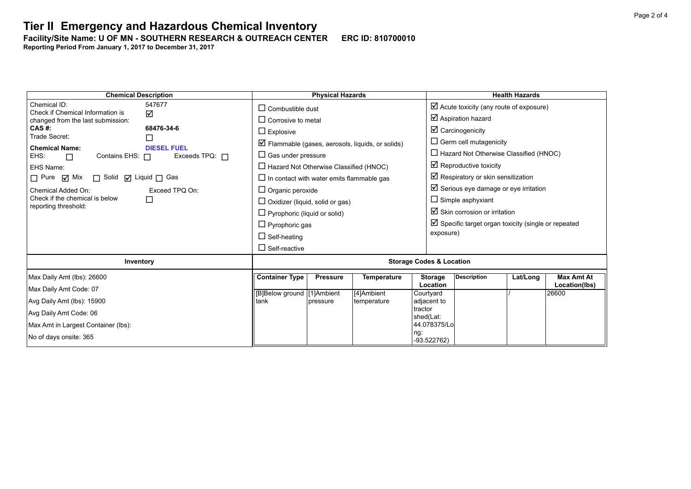Facility/Site Name: U OF MN - SOUTHERN RESEARCH & OUTREACH CENTER ERC ID: 810700010

**Reporting Period From January 1, 2017 to December 31, 2017**

**Chemical Description Physical Hazards Health Hazards** Chemical ID: 547677 Check if Chemical Information is changed from the last submission:<br>CAS #: ☑ **CAS #: 68476-34-6** Trade Secret:<br>
Chemical Name: 
Chemical Name: **Chemical Name:**<br>EHS: □ Contains EHS: □  $\Box$  Contains EHS:  $\Box$  Exceeds TPQ:  $\Box$ EHS Name:  $\Box$  Pure  $\Box$  Mix  $\Box$  Solid  $\Box$  Liquid  $\Box$  Gas Chemical Added On: Exceed TPQ On: Check if the chemical is below reporting threshold:  $\Box$  $\Box$  Combustible dust  $\Box$  Corrosive to metal  $\square$  Explosive  $\boxtimes$  Flammable (gases, aerosols, liquids, or solids)  $\Box$  Gas under pressure  $\Box$  Hazard Not Otherwise Classified (HNOC)  $\Box$  In contact with water emits flammable gas  $\Box$  Organic peroxide  $\Box$  Oxidizer (liquid, solid or gas)  $\Box$  Pyrophoric (liquid or solid)  $\Box$  Pyrophoric gas  $\Box$  Self-heating  $\square$  Self-reactive  $\boxtimes$  Acute toxicity (any route of exposure)  $\boxtimes$  Aspiration hazard  $\boxtimes$  Carcinogenicity  $\square$  Germ cell mutagenicity  $\Box$  Hazard Not Otherwise Classified (HNOC)  $\boxtimes$  Reproductive toxicity  $\nabla$  Respiratory or skin sensitization  $\boxtimes$  Serious eye damage or eye irritation  $\square$  Simple asphyxiant  $\boxtimes$  Skin corrosion or irritation  $\boxtimes$  Specific target organ toxicity (single or repeated exposure) **Inventory Inventory Intervention** *Storage Codes & Location* Max Daily Amt (lbs): 26600 Max Daily Amt Code: 07 Avg Daily Amt (lbs): 15900 Avg Daily Amt Code: 06 Max Amt in Largest Container (lbs): No of days onsite: 365 **Container Type Pressure Temperature Storage Location Description Lat/Long Max Amt At Location(lbs)** [B]Below ground tank [1]Ambient pressure [4]Ambient temperature **Courtyard** adjacent to tractor shed(Lat: 44.078375/Lo ng: -93.522762) / 26600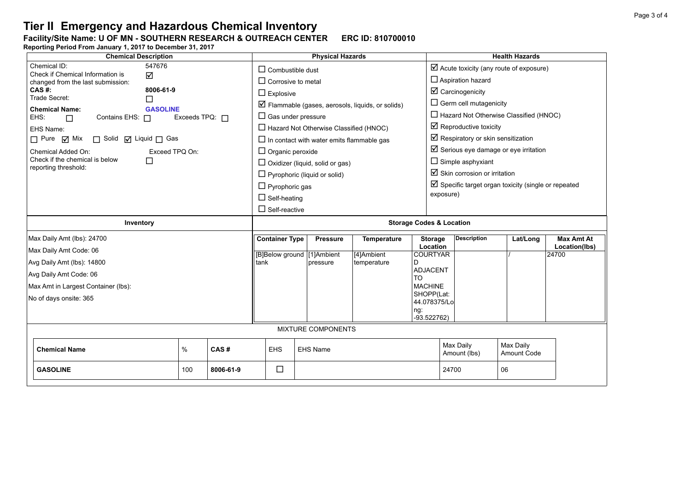### **Facility/Site Name: U OF MN - SOUTHERN RESEARCH & OUTREACH CENTER-----ERC ID: 810700010**

**Reporting Period From January 1, 2017 to December 31, 2017**

| <b>Chemical Description</b>                                   |                                     | <b>Physical Hazards</b>   |                                               |                                                             | <b>Health Hazards</b>                              |                                                                |             |                        |  |
|---------------------------------------------------------------|-------------------------------------|---------------------------|-----------------------------------------------|-------------------------------------------------------------|----------------------------------------------------|----------------------------------------------------------------|-------------|------------------------|--|
| Chemical ID:<br>547676<br>Check if Chemical Information is    | $\Box$ Combustible dust             |                           |                                               |                                                             | $\boxtimes$ Acute toxicity (any route of exposure) |                                                                |             |                        |  |
| ☑<br>changed from the last submission:                        | $\Box$ Corrosive to metal           |                           |                                               |                                                             | $\Box$ Aspiration hazard                           |                                                                |             |                        |  |
| CAS#:<br>8006-61-9<br>Trade Secret:                           | $\Box$ Explosive                    |                           |                                               |                                                             | $\boxtimes$ Carcinogenicity                        |                                                                |             |                        |  |
| П<br><b>Chemical Name:</b><br><b>GASOLINE</b>                 |                                     |                           |                                               | $\boxtimes$ Flammable (gases, aerosols, liquids, or solids) |                                                    | $\Box$ Germ cell mutagenicity                                  |             |                        |  |
| EHS:<br>Contains EHS: $\Box$<br>Exceeds TPQ: $\Box$<br>$\Box$ |                                     | $\Box$ Gas under pressure |                                               |                                                             |                                                    | $\Box$ Hazard Not Otherwise Classified (HNOC)                  |             |                        |  |
| EHS Name:                                                     |                                     |                           | $\Box$ Hazard Not Otherwise Classified (HNOC) |                                                             | $\boxtimes$ Reproductive toxicity                  |                                                                |             |                        |  |
| $\Box$ Pure $\Box$ Mix<br>□ Solid □ Liquid □ Gas              |                                     |                           |                                               | $\Box$ In contact with water emits flammable gas            |                                                    | $\boxtimes$ Respiratory or skin sensitization                  |             |                        |  |
| Chemical Added On:<br>Exceed TPQ On:                          |                                     | $\Box$ Organic peroxide   |                                               |                                                             |                                                    | $\boxtimes$ Serious eye damage or eye irritation               |             |                        |  |
| Check if the chemical is below<br>П<br>reporting threshold:   |                                     |                           | $\Box$ Oxidizer (liquid, solid or gas)        |                                                             |                                                    | $\Box$ Simple asphyxiant                                       |             |                        |  |
|                                                               |                                     |                           | $\Box$ Pyrophoric (liquid or solid)           |                                                             |                                                    | $\boxtimes$ Skin corrosion or irritation                       |             |                        |  |
|                                                               |                                     | $\Box$ Pyrophoric gas     |                                               |                                                             |                                                    | $\boxtimes$ Specific target organ toxicity (single or repeated |             |                        |  |
|                                                               |                                     | $\Box$ Self-heating       |                                               |                                                             |                                                    | exposure)                                                      |             |                        |  |
|                                                               |                                     | $\Box$ Self-reactive      |                                               |                                                             |                                                    |                                                                |             |                        |  |
| Inventory                                                     | <b>Storage Codes &amp; Location</b> |                           |                                               |                                                             |                                                    |                                                                |             |                        |  |
| Max Daily Amt (lbs): 24700                                    |                                     | <b>Container Type</b>     | <b>Pressure</b>                               | Temperature                                                 | <b>Storage</b>                                     | <b>Description</b>                                             | Lat/Long    | <b>Max Amt At</b>      |  |
| Max Daily Amt Code: 06                                        |                                     |                           | [B]Below ground [1]Ambient                    | [4]Ambient                                                  | Location<br><b>COURTYAR</b>                        |                                                                |             | Location(lbs)<br>24700 |  |
| Avg Daily Amt (lbs): 14800                                    |                                     | tank                      | pressure                                      | temperature                                                 | D                                                  |                                                                |             |                        |  |
| Avg Daily Amt Code: 06                                        |                                     |                           |                                               | <b>ADJACENT</b><br><b>TO</b>                                |                                                    |                                                                |             |                        |  |
| Max Amt in Largest Container (lbs):                           |                                     |                           |                                               | <b>MACHINE</b>                                              |                                                    |                                                                |             |                        |  |
| No of days onsite: 365                                        |                                     |                           |                                               |                                                             | SHOPP(Lat:<br>44.078375/Lo                         |                                                                |             |                        |  |
|                                                               |                                     |                           |                                               |                                                             | ng:                                                |                                                                |             |                        |  |
| $-93.522762$                                                  |                                     |                           |                                               |                                                             |                                                    |                                                                |             |                        |  |
| <b>MIXTURE COMPONENTS</b>                                     |                                     |                           |                                               |                                                             |                                                    |                                                                |             |                        |  |
|                                                               |                                     | <b>EHS</b>                | EHS Name                                      |                                                             |                                                    | Max Daily                                                      | Max Daily   |                        |  |
| $\%$<br>CAS#<br><b>Chemical Name</b>                          |                                     |                           |                                               |                                                             |                                                    | Amount (lbs)                                                   | Amount Code |                        |  |